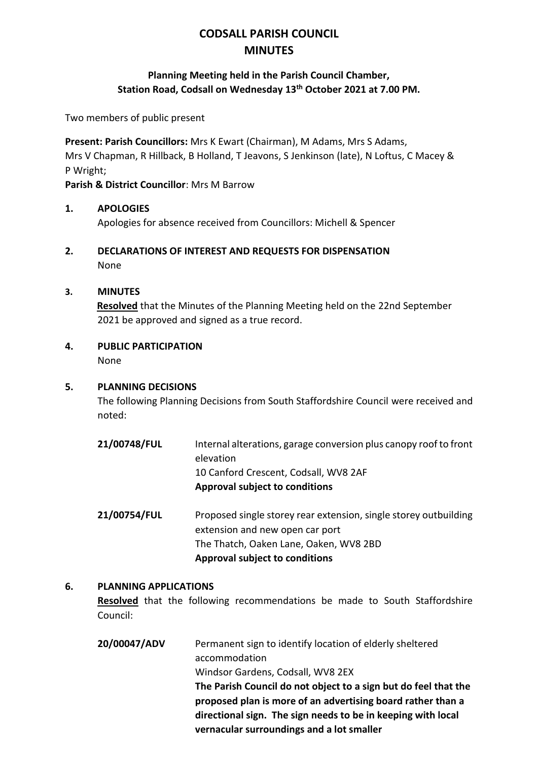# **CODSALL PARISH COUNCIL MINUTES**

### **Planning Meeting held in the Parish Council Chamber, Station Road, Codsall on Wednesday 13th October 2021 at 7.00 PM.**

Two members of public present

**Present: Parish Councillors:** Mrs K Ewart (Chairman), M Adams, Mrs S Adams, Mrs V Chapman, R Hillback, B Holland, T Jeavons, S Jenkinson (late), N Loftus, C Macey & P Wright;

**Parish & District Councillor**: Mrs M Barrow

#### **1. APOLOGIES**

Apologies for absence received from Councillors: Michell & Spencer

**2. DECLARATIONS OF INTEREST AND REQUESTS FOR DISPENSATION** None

#### **3. MINUTES**

**Resolved** that the Minutes of the Planning Meeting held on the 22nd September 2021 be approved and signed as a true record.

**4. PUBLIC PARTICIPATION**

None

#### **5. PLANNING DECISIONS**

The following Planning Decisions from South Staffordshire Council were received and noted:

- **21/00748/FUL** Internal alterations, garage conversion plus canopy roof to front elevation 10 Canford Crescent, Codsall, WV8 2AF **Approval subject to conditions**
- **21/00754/FUL** Proposed single storey rear extension, single storey outbuilding extension and new open car port The Thatch, Oaken Lane, Oaken, WV8 2BD **Approval subject to conditions**

#### **6. PLANNING APPLICATIONS**

**Resolved** that the following recommendations be made to South Staffordshire Council:

**20/00047/ADV** Permanent sign to identify location of elderly sheltered accommodation Windsor Gardens, Codsall, WV8 2EX **The Parish Council do not object to a sign but do feel that the proposed plan is more of an advertising board rather than a directional sign. The sign needs to be in keeping with local vernacular surroundings and a lot smaller**